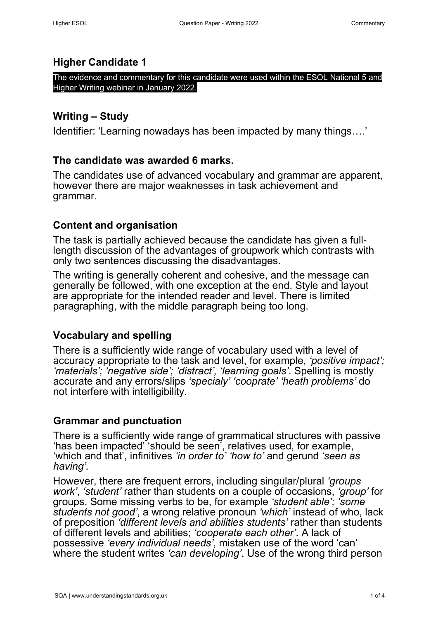#### **Higher Candidate 1**

The evidence and commentary for this candidate were used within the ESOL National 5 and Higher Writing webinar in January 2022.

### **Writing – Study**

Identifier: 'Learning nowadays has been impacted by many things….'

### **The candidate was awarded 6 marks.**

The candidates use of advanced vocabulary and grammar are apparent, however there are major weaknesses in task achievement and grammar.

## **Content and organisation**

The task is partially achieved because the candidate has given a fulllength discussion of the advantages of groupwork which contrasts with only two sentences discussing the disadvantages.

The writing is generally coherent and cohesive, and the message can generally be followed, with one exception at the end. Style and layout are appropriate for the intended reader and level. There is limited paragraphing, with the middle paragraph being too long.

## **Vocabulary and spelling**

There is a sufficiently wide range of vocabulary used with a level of accuracy appropriate to the task and level, for example, *'positive impact'; 'materials'; 'negative side'; 'distract', 'learning goals'*. Spelling is mostly accurate and any errors/slips *'specialy' 'cooprate' 'heath problems'* do not interfere with intelligibility.

#### **Grammar and punctuation**

There is a sufficiently wide range of grammatical structures with passive 'has been impacted' 'should be seen', relatives used, for example, 'which and that', infinitives *'in order to' 'how to'* and gerund *'seen as having'.* 

However, there are frequent errors, including singular/plural *'groups work'*, *'student'* rather than students on a couple of occasions, *'group'* for groups. Some missing verbs to be, for example *'student able'; 'some students not good'*, a wrong relative pronoun *'which'* instead of who, lack of preposition *'different levels and abilities students'* rather than students of different levels and abilities; *'cooperate each other'*. A lack of possessive *'every individual needs'*, mistaken use of the word 'can' where the student writes *'can developing'*. Use of the wrong third person Higher Caccuracte and alternal commentary where are applied to the members of the candidate was awarded 6 marks.<br>
Higher Candidate was awarded 6 marks.<br>
The candidate was awarded 6 marks.<br>
The candidate was awarded 6 marks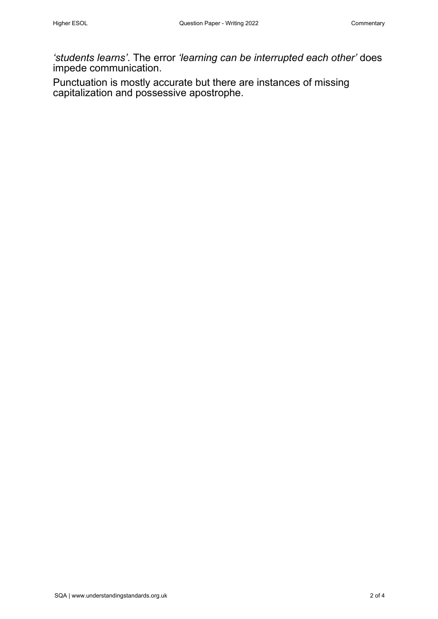*'students learns'*. The error *'learning can be interrupted each other'* does impede communication. Higher ESOL Question Paper - Writing 2022 Commentary Structure Intervention Paper Commentary Structure Diminstration .<br>
Studients Bernman ST. The error "learning can be intervented each other" does<br>
PUInctuation is mostly

Punctuation is mostly accurate but there are instances of missing capitalization and possessive apostrophe.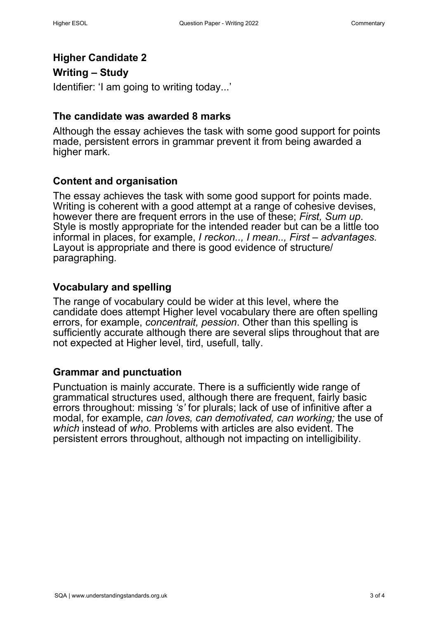# **Higher Candidate 2**

## **Writing – Study**

Identifier: 'I am going to writing today...'

#### **The candidate was awarded 8 marks**

Although the essay achieves the task with some good support for points made, persistent errors in grammar prevent it from being awarded a higher mark.

## **Content and organisation**

The essay achieves the task with some good support for points made. Writing is coherent with a good attempt at a range of cohesive devises, however there are frequent errors in the use of these; First, Sum up. Style is mostly appropriate for the intended reader but can be a little too informal in places, for example, *I reckon.., I mean.., First – advantages.* Layout is appropriate and there is good evidence of structure/ paragraphing. Higher Cock Commission Paper - Writing 2022<br>
Higher Candidate 2<br>
Writing - Study<br>
Higher Candidate Vas awarded 8 marks<br>
This candidate vas awarded 8 marks<br>
Although the assay achieves the task with some good support for po

#### **Vocabulary and spelling**

The range of vocabulary could be wider at this level, where the candidate does attempt Higher level vocabulary there are often spelling errors, for example, *concentrait, pession*. Other than this spelling is sufficiently accurate although there are several slips throughout that are not expected at Higher level, tird, usefull, tally.

#### **Grammar and punctuation**

Punctuation is mainly accurate. There is a sufficiently wide range of grammatical structures used, although there are frequent, fairly basic errors throughout: missing *'s'* for plurals; lack of use of infinitive after a modal, for example, *can loves, can demotivated, can working;* the use of *which* instead of *who.* Problems with articles are also evident. The persistent errors throughout, although not impacting on intelligibility.